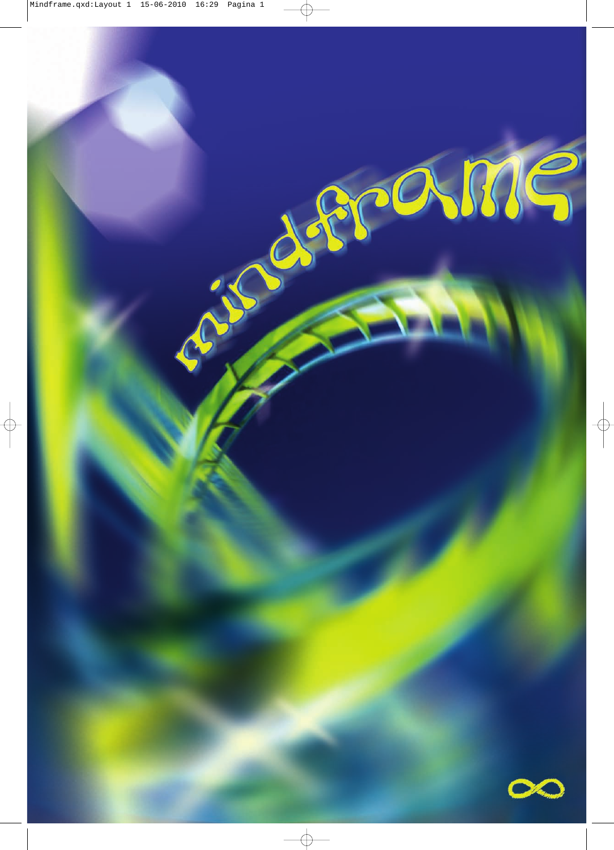